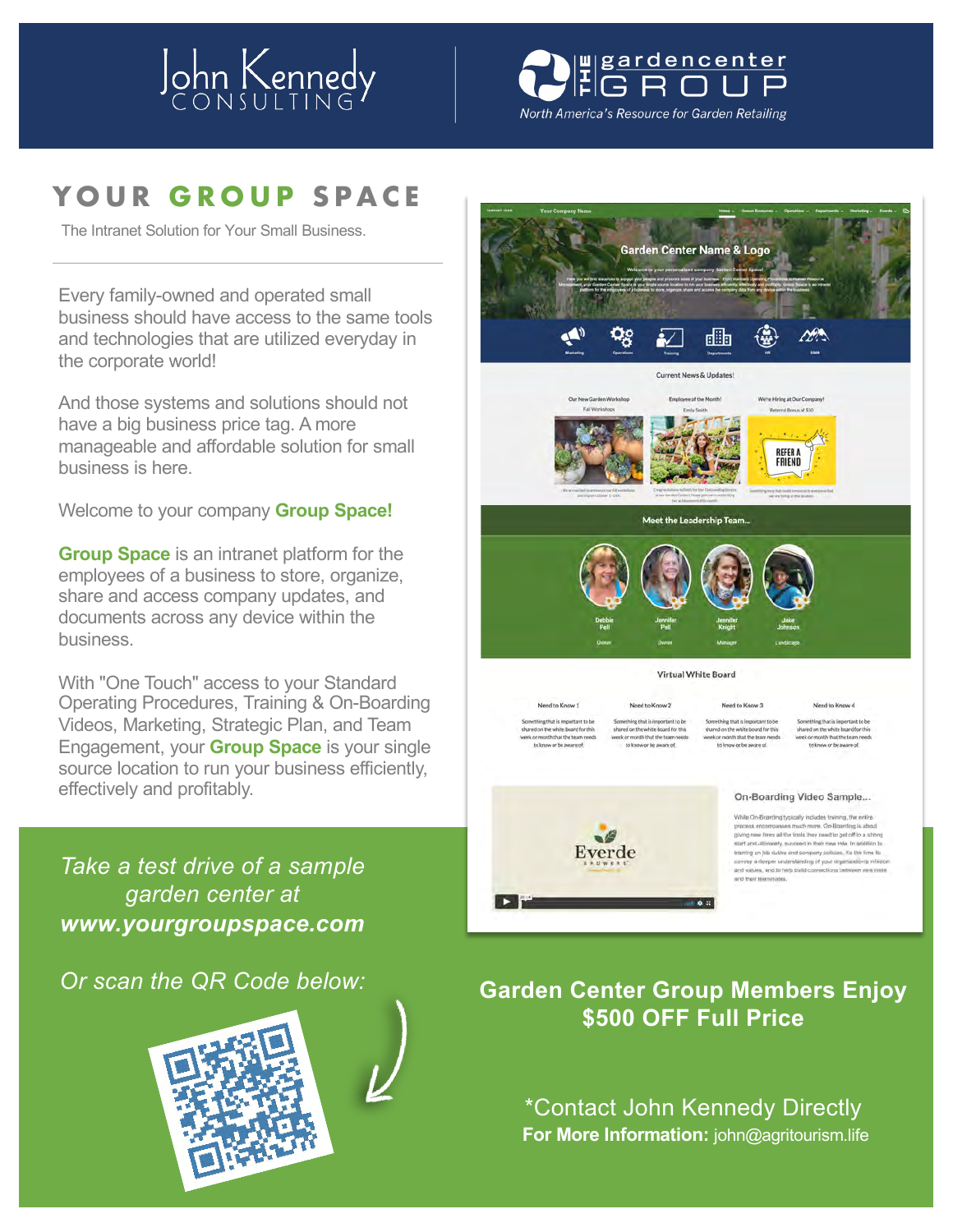# John Kennedy

# w<sub>gardencenter</sub>

North America's Resource for Garden Retailing

## **YOUR GROUP SPACE**

The Intranet Solution for Your Small Business.

Every family-owned and operated small business should have access to the same tools and technologies that are utilized everyday in the corporate world!

And those systems and solutions should not have a big business price tag. A more manageable and affordable solution for small business is here.

Welcome to your company **Group Space!**

**Group Space** is an intranet platform for the employees of a business to store, organize, share and access company updates, and documents across any device within the business.

With "One Touch" access to your Standard Operating Procedures, Training & On-Boarding Videos, Marketing, Strategic Plan, and Team Engagement, your **Group Space** is your single source location to run your business efficiently, effectively and profitably.

*Take a test drive of a sample garden center at www.yourgroupspace.com*

#### *Or scan the QR Code below:*





**For More Information:** john@agritourism.life \*Contact John Kennedy Directly